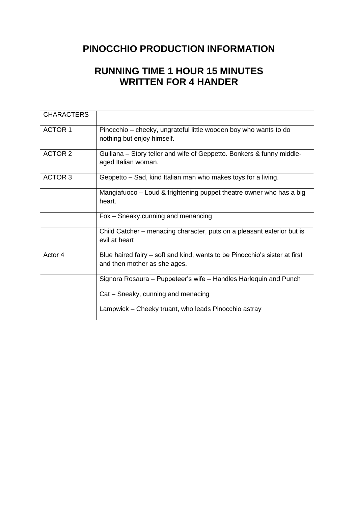### **PINOCCHIO PRODUCTION INFORMATION**

## **RUNNING TIME 1 HOUR 15 MINUTES WRITTEN FOR 4 HANDER**

| <b>CHARACTERS</b> |                                                                                                            |  |  |  |  |
|-------------------|------------------------------------------------------------------------------------------------------------|--|--|--|--|
| <b>ACTOR 1</b>    | Pinocchio – cheeky, ungrateful little wooden boy who wants to do<br>nothing but enjoy himself.             |  |  |  |  |
| <b>ACTOR 2</b>    | Guiliana – Story teller and wife of Geppetto. Bonkers & funny middle-<br>aged Italian woman.               |  |  |  |  |
| <b>ACTOR 3</b>    | Geppetto – Sad, kind Italian man who makes toys for a living.                                              |  |  |  |  |
|                   | Mangiafuoco – Loud & frightening puppet theatre owner who has a big<br>heart.                              |  |  |  |  |
|                   | Fox - Sneaky, cunning and menancing                                                                        |  |  |  |  |
|                   | Child Catcher – menacing character, puts on a pleasant exterior but is<br>evil at heart                    |  |  |  |  |
| Actor 4           | Blue haired fairy – soft and kind, wants to be Pinocchio's sister at first<br>and then mother as she ages. |  |  |  |  |
|                   | Signora Rosaura – Puppeteer's wife – Handles Harlequin and Punch                                           |  |  |  |  |
|                   | Cat – Sneaky, cunning and menacing                                                                         |  |  |  |  |
|                   | Lampwick – Cheeky truant, who leads Pinocchio astray                                                       |  |  |  |  |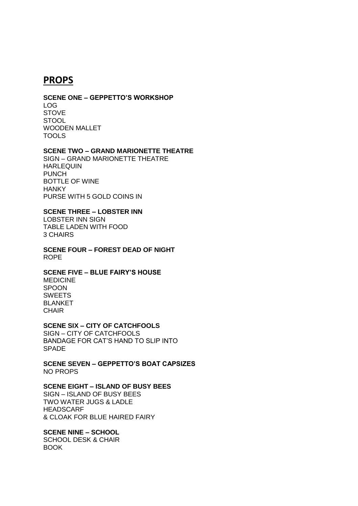#### **PROPS**

#### **SCENE ONE – GEPPETTO'S WORKSHOP**

LOG **STOVE STOOL** WOODEN MALLET TOOLS

#### **SCENE TWO – GRAND MARIONETTE THEATRE**

SIGN – GRAND MARIONETTE THEATRE HARLEQUIN PUNCH BOTTLE OF WINE **HANKY** PURSE WITH 5 GOLD COINS IN

#### **SCENE THREE – LOBSTER INN**

LOBSTER INN SIGN TABLE LADEN WITH FOOD 3 CHAIRS

**SCENE FOUR – FOREST DEAD OF NIGHT** ROPE

#### **SCENE FIVE – BLUE FAIRY'S HOUSE**

MEDICINE SPOON SWEETS BLANKET **CHAIR** 

#### **SCENE SIX – CITY OF CATCHFOOLS**

SIGN – CITY OF CATCHFOOLS BANDAGE FOR CAT'S HAND TO SLIP INTO SPADE

**SCENE SEVEN – GEPPETTO'S BOAT CAPSIZES** NO PROPS

#### **SCENE EIGHT – ISLAND OF BUSY BEES**

SIGN – ISLAND OF BUSY BEES TWO WATER JUGS & LADLE HEADSCARF & CLOAK FOR BLUE HAIRED FAIRY

#### **SCENE NINE – SCHOOL**

SCHOOL DESK & CHAIR BOOK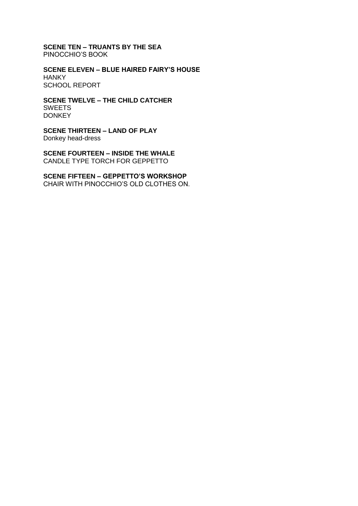**SCENE TEN – TRUANTS BY THE SEA** PINOCCHIO'S BOOK

**SCENE ELEVEN – BLUE HAIRED FAIRY'S HOUSE HANKY** SCHOOL REPORT

**SCENE TWELVE – THE CHILD CATCHER** SWEETS **DONKEY** 

**SCENE THIRTEEN – LAND OF PLAY** Donkey head-dress

**SCENE FOURTEEN – INSIDE THE WHALE** CANDLE TYPE TORCH FOR GEPPETTO

**SCENE FIFTEEN – GEPPETTO'S WORKSHOP** CHAIR WITH PINOCCHIO'S OLD CLOTHES ON.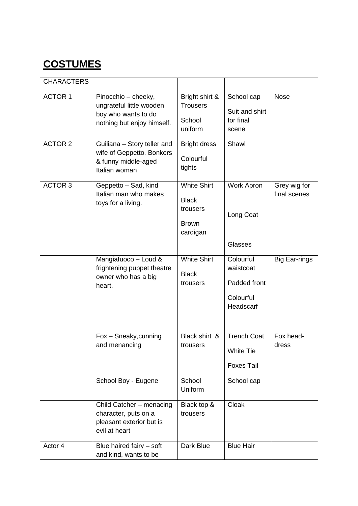# **COSTUMES**

| <b>CHARACTERS</b> |                                                                                                      |                                                                            |                                                                  |                              |
|-------------------|------------------------------------------------------------------------------------------------------|----------------------------------------------------------------------------|------------------------------------------------------------------|------------------------------|
| <b>ACTOR 1</b>    | Pinocchio - cheeky,<br>ungrateful little wooden<br>boy who wants to do<br>nothing but enjoy himself. | Bright shirt &<br><b>Trousers</b><br>School<br>uniform                     | School cap<br>Suit and shirt<br>for final<br>scene               | <b>Nose</b>                  |
| <b>ACTOR 2</b>    | Guiliana - Story teller and<br>wife of Geppetto. Bonkers<br>& funny middle-aged<br>Italian woman     | <b>Bright dress</b><br>Colourful<br>tights                                 | Shawl                                                            |                              |
| <b>ACTOR 3</b>    | Geppetto - Sad, kind<br>Italian man who makes<br>toys for a living.                                  | <b>White Shirt</b><br><b>Black</b><br>trousers<br><b>Brown</b><br>cardigan | <b>Work Apron</b><br>Long Coat<br>Glasses                        | Grey wig for<br>final scenes |
|                   | Mangiafuoco - Loud &<br>frightening puppet theatre<br>owner who has a big<br>heart.                  | <b>White Shirt</b><br><b>Black</b><br>trousers                             | Colourful<br>waistcoat<br>Padded front<br>Colourful<br>Headscarf | <b>Big Ear-rings</b>         |
|                   | Fox - Sneaky, cunning<br>and menancing                                                               | Black shirt &<br>trousers                                                  | <b>Trench Coat</b><br><b>White Tie</b><br><b>Foxes Tail</b>      | Fox head-<br>dress           |
|                   | School Boy - Eugene                                                                                  | School<br>Uniform                                                          | School cap                                                       |                              |
|                   | Child Catcher - menacing<br>character, puts on a<br>pleasant exterior but is<br>evil at heart        | Black top &<br>trousers                                                    | Cloak                                                            |                              |
| Actor 4           | Blue haired fairy - soft<br>and kind, wants to be                                                    | Dark Blue                                                                  | <b>Blue Hair</b>                                                 |                              |